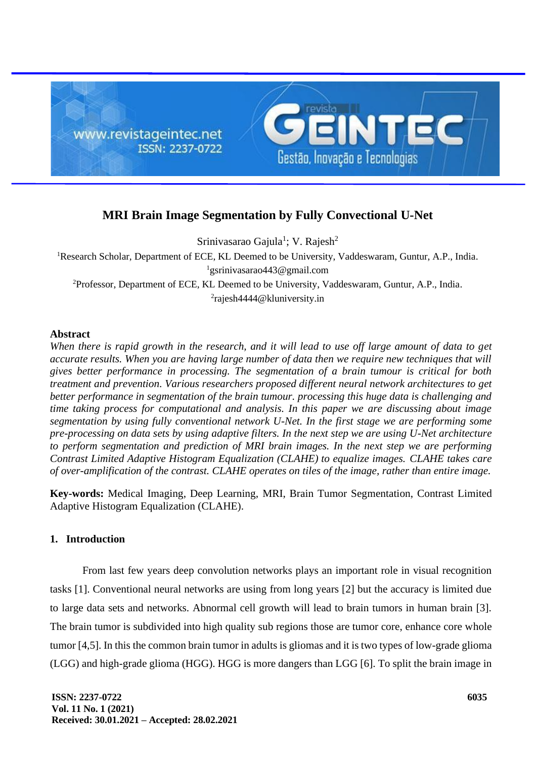

# **MRI Brain Image Segmentation by Fully Convectional U-Net**

Srinivasarao Gajula<sup>1</sup>; V. Rajesh<sup>2</sup> <sup>1</sup>Research Scholar, Department of ECE, KL Deemed to be University, Vaddeswaram, Guntur, A.P., India. <sup>1</sup>gsrinivasarao443@gmail.com <sup>2</sup>Professor, Department of ECE, KL Deemed to be University, Vaddeswaram, Guntur, A.P., India. 2 rajesh4444@kluniversity.in

## **Abstract**

*When there is rapid growth in the research, and it will lead to use off large amount of data to get accurate results. When you are having large number of data then we require new techniques that will gives better performance in processing. The segmentation of a brain tumour is critical for both treatment and prevention. Various researchers proposed different neural network architectures to get better performance in segmentation of the brain tumour. processing this huge data is challenging and time taking process for computational and analysis. In this paper we are discussing about image segmentation by using fully conventional network U-Net. In the first stage we are performing some pre-processing on data sets by using adaptive filters. In the next step we are using U-Net architecture to perform segmentation and prediction of MRI brain images. In the next step we are performing Contrast Limited Adaptive Histogram Equalization (CLAHE) to equalize images. CLAHE takes care of over-amplification of the contrast. CLAHE operates on tiles of the image, rather than entire image.*

**Key-words:** Medical Imaging, Deep Learning, MRI, Brain Tumor Segmentation, Contrast Limited Adaptive Histogram Equalization (CLAHE).

# **1. Introduction**

From last few years deep convolution networks plays an important role in visual recognition tasks [1]. Conventional neural networks are using from long years [2] but the accuracy is limited due to large data sets and networks. Abnormal cell growth will lead to brain tumors in human brain [3]. The brain tumor is subdivided into high quality sub regions those are tumor core, enhance core whole tumor [4,5]. In this the common brain tumor in adults is gliomas and it is two types of low-grade glioma (LGG) and high-grade glioma (HGG). HGG is more dangers than LGG [6]. To split the brain image in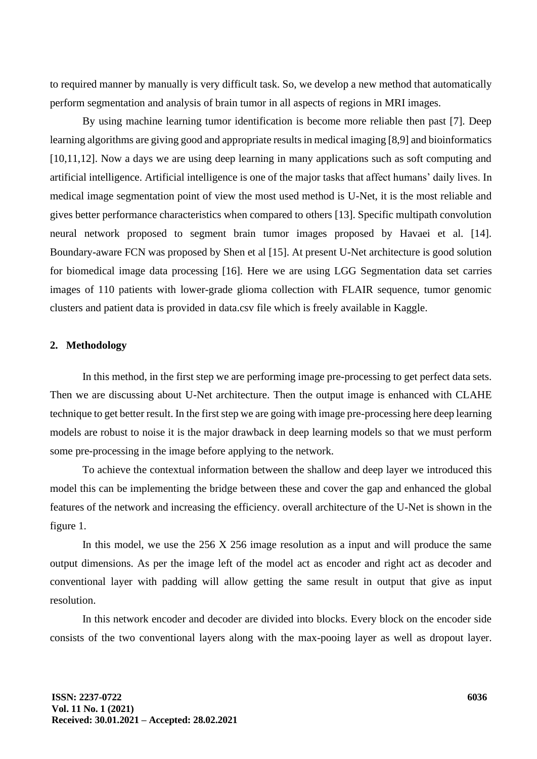to required manner by manually is very difficult task. So, we develop a new method that automatically perform segmentation and analysis of brain tumor in all aspects of regions in MRI images.

By using machine learning tumor identification is become more reliable then past [7]. Deep learning algorithms are giving good and appropriate results in medical imaging [8,9] and bioinformatics [10,11,12]. Now a days we are using deep learning in many applications such as soft computing and artificial intelligence. Artificial intelligence is one of the major tasks that affect humans' daily lives. In medical image segmentation point of view the most used method is U-Net, it is the most reliable and gives better performance characteristics when compared to others [13]. Specific multipath convolution neural network proposed to segment brain tumor images proposed by Havaei et al. [14]. Boundary-aware FCN was proposed by Shen et al [15]. At present U-Net architecture is good solution for biomedical image data processing [16]. Here we are using LGG Segmentation data set carries images of 110 patients with lower-grade glioma collection with FLAIR sequence, tumor genomic clusters and patient data is provided in data.csv file which is freely available in Kaggle.

### **2. Methodology**

In this method, in the first step we are performing image pre-processing to get perfect data sets. Then we are discussing about U-Net architecture. Then the output image is enhanced with CLAHE technique to get better result. In the first step we are going with image pre-processing here deep learning models are robust to noise it is the major drawback in deep learning models so that we must perform some pre-processing in the image before applying to the network.

To achieve the contextual information between the shallow and deep layer we introduced this model this can be implementing the bridge between these and cover the gap and enhanced the global features of the network and increasing the efficiency. overall architecture of the U-Net is shown in the figure 1.

In this model, we use the 256 X 256 image resolution as a input and will produce the same output dimensions. As per the image left of the model act as encoder and right act as decoder and conventional layer with padding will allow getting the same result in output that give as input resolution.

In this network encoder and decoder are divided into blocks. Every block on the encoder side consists of the two conventional layers along with the max-pooing layer as well as dropout layer.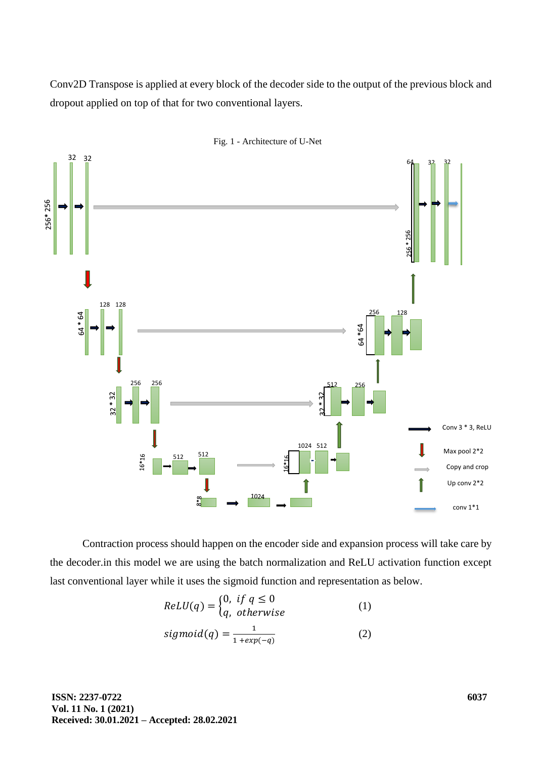Conv2D Transpose is applied at every block of the decoder side to the output of the previous block and dropout applied on top of that for two conventional layers.



Fig. 1 - Architecture of U-Net

Contraction process should happen on the encoder side and expansion process will take care by the decoder.in this model we are using the batch normalization and ReLU activation function except last conventional layer while it uses the sigmoid function and representation as below.

$$
ReLU(q) = \begin{cases} 0, & \text{if } q \le 0 \\ q, & \text{otherwise} \end{cases}
$$
 (1)

$$
sigmoid(q) = \frac{1}{1 + exp(-q)}
$$
 (2)

**ISSN: 2237-0722 Vol. 11 No. 1 (2021) Received: 30.01.2021 – Accepted: 28.02.2021**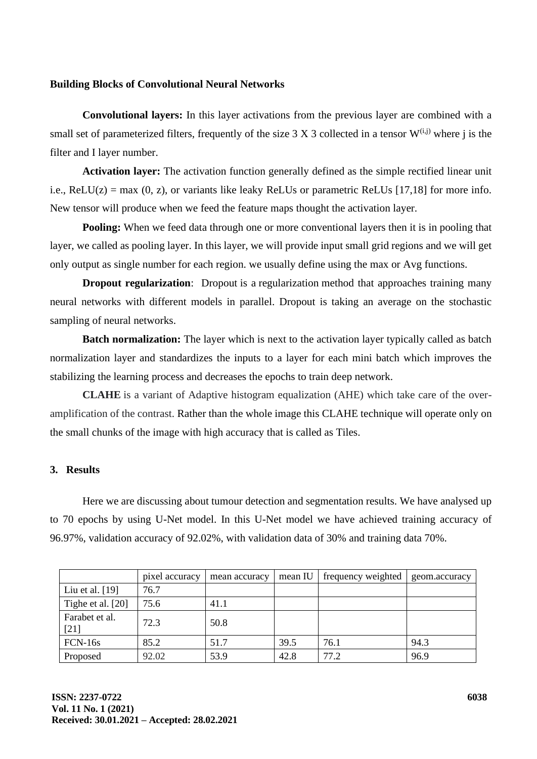## **Building Blocks of Convolutional Neural Networks**

**Convolutional layers:** In this layer activations from the previous layer are combined with a small set of parameterized filters, frequently of the size  $3 \times 3$  collected in a tensor  $W^{(i,j)}$  where j is the filter and I layer number.

**Activation layer:** The activation function generally defined as the simple rectified linear unit i.e.,  $ReLU(z) = max(0, z)$ , or variants like leaky ReLUs or parametric ReLUs [17,18] for more info. New tensor will produce when we feed the feature maps thought the activation layer.

**Pooling:** When we feed data through one or more conventional layers then it is in pooling that layer, we called as pooling layer. In this layer, we will provide input small grid regions and we will get only output as single number for each region. we usually define using the max or Avg functions.

**Dropout regularization**: Dropout is a regularization method that approaches training many neural networks with different models in parallel. Dropout is taking an average on the stochastic sampling of neural networks.

**Batch normalization:** The layer which is next to the activation layer typically called as batch normalization layer and standardizes the inputs to a layer for each mini batch which improves the stabilizing the learning process and decreases the epochs to train deep network.

**CLAHE** is a variant of Adaptive histogram equalization (AHE) which take care of the overamplification of the contrast. Rather than the whole image this CLAHE technique will operate only on the small chunks of the image with high accuracy that is called as Tiles.

## **3. Results**

Here we are discussing about tumour detection and segmentation results. We have analysed up to 70 epochs by using U-Net model. In this U-Net model we have achieved training accuracy of 96.97%, validation accuracy of 92.02%, with validation data of 30% and training data 70%.

|                          | pixel accuracy | mean accuracy | mean IU | frequency weighted | geom.accuracy |
|--------------------------|----------------|---------------|---------|--------------------|---------------|
| Liu et al. $[19]$        | 76.7           |               |         |                    |               |
| Tighe et al. [20]        | 75.6           | 41.1          |         |                    |               |
| Farabet et al.<br>$[21]$ | 72.3           | 50.8          |         |                    |               |
| FCN-16s                  | 85.2           | 51.7          | 39.5    | 76.1               | 94.3          |
| Proposed                 | 92.02          | 53.9          | 42.8    | 77.2               | 96.9          |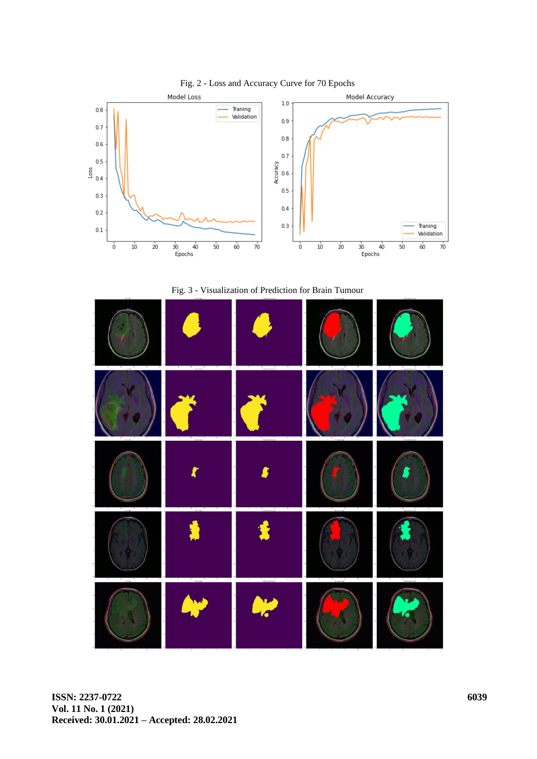

Fig. 3 - Visualization of Prediction for Brain Tumour

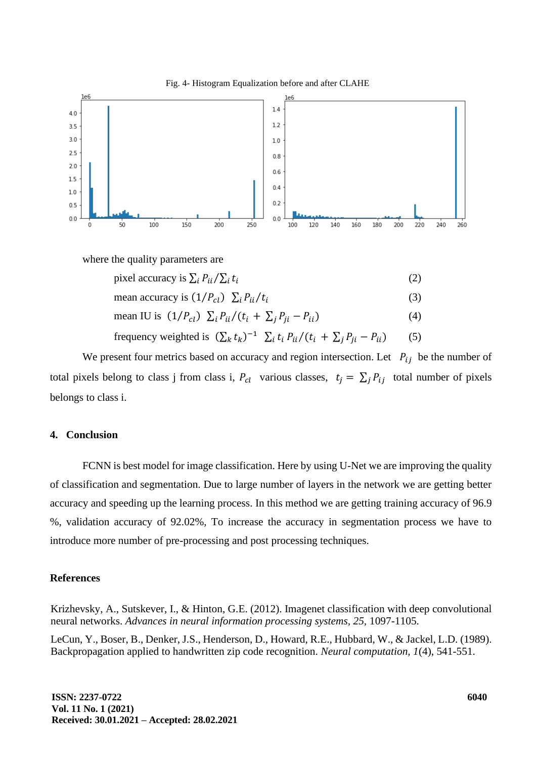



where the quality parameters are

| pixel accuracy is $\sum_i P_{ii}/\sum_i t_i$                                               | (2) |
|--------------------------------------------------------------------------------------------|-----|
| mean accuracy is $(1/P_{cl}) \sum_i P_{ii}/t_i$                                            | (3) |
| mean IU is $(1/P_{cl}) \sum_i P_{ii}/(t_i + \sum_i P_{ii} - P_{ii})$                       | (4) |
| frequency weighted is $(\sum_k t_k)^{-1} \sum_i t_i P_{ii}/(t_i + \sum_j P_{ji} - P_{ii})$ | (5) |

We present four metrics based on accuracy and region intersection. Let  $P_{ij}$  be the number of total pixels belong to class j from class i,  $P_{cl}$  various classes,  $t_j = \sum_j P_{ij}$  total number of pixels belongs to class i.

#### **4. Conclusion**

FCNN is best model for image classification. Here by using U-Net we are improving the quality of classification and segmentation. Due to large number of layers in the network we are getting better accuracy and speeding up the learning process. In this method we are getting training accuracy of 96.9 %, validation accuracy of 92.02%, To increase the accuracy in segmentation process we have to introduce more number of pre-processing and post processing techniques.

#### **References**

Krizhevsky, A., Sutskever, I., & Hinton, G.E. (2012). Imagenet classification with deep convolutional neural networks. *Advances in neural information processing systems, 25,* 1097-1105.

LeCun, Y., Boser, B., Denker, J.S., Henderson, D., Howard, R.E., Hubbard, W., & Jackel, L.D. (1989). Backpropagation applied to handwritten zip code recognition. *Neural computation, 1*(4), 541-551.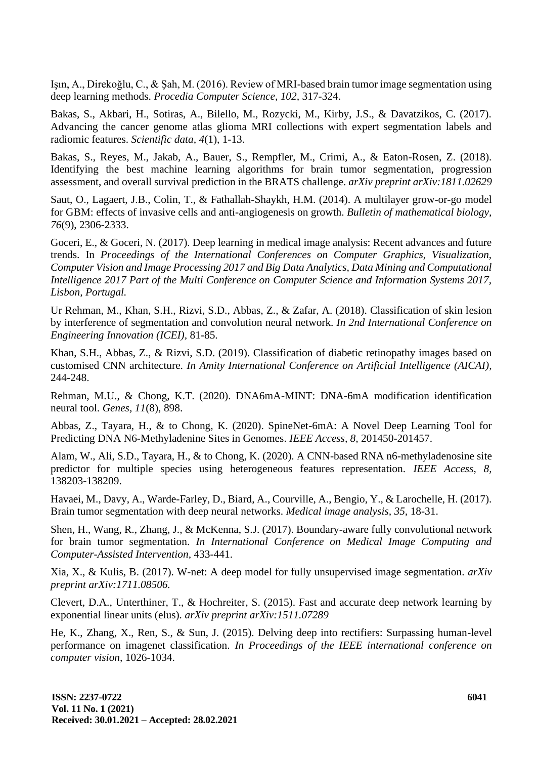Işın, A., Direkoğlu, C., & Şah, M. (2016). Review of MRI-based brain tumor image segmentation using deep learning methods. *Procedia Computer Science, 102,* 317-324.

Bakas, S., Akbari, H., Sotiras, A., Bilello, M., Rozycki, M., Kirby, J.S., & Davatzikos, C. (2017). Advancing the cancer genome atlas glioma MRI collections with expert segmentation labels and radiomic features. *Scientific data, 4*(1), 1-13.

Bakas, S., Reyes, M., Jakab, A., Bauer, S., Rempfler, M., Crimi, A., & Eaton-Rosen, Z. (2018). Identifying the best machine learning algorithms for brain tumor segmentation, progression assessment, and overall survival prediction in the BRATS challenge. *arXiv preprint arXiv:1811.02629*

Saut, O., Lagaert, J.B., Colin, T., & Fathallah-Shaykh, H.M. (2014). A multilayer grow-or-go model for GBM: effects of invasive cells and anti-angiogenesis on growth. *Bulletin of mathematical biology, 76*(9), 2306-2333.

Goceri, E., & Goceri, N. (2017). Deep learning in medical image analysis: Recent advances and future trends. In *Proceedings of the International Conferences on Computer Graphics, Visualization, Computer Vision and Image Processing 2017 and Big Data Analytics, Data Mining and Computational Intelligence 2017 Part of the Multi Conference on Computer Science and Information Systems 2017, Lisbon, Portugal.*

Ur Rehman, M., Khan, S.H., Rizvi, S.D., Abbas, Z., & Zafar, A. (2018). Classification of skin lesion by interference of segmentation and convolution neural network. *In 2nd International Conference on Engineering Innovation (ICEI),* 81-85.

Khan, S.H., Abbas, Z., & Rizvi, S.D. (2019). Classification of diabetic retinopathy images based on customised CNN architecture. *In Amity International Conference on Artificial Intelligence (AICAI),* 244-248.

Rehman, M.U., & Chong, K.T. (2020). DNA6mA-MINT: DNA-6mA modification identification neural tool. *Genes, 11*(8), 898.

Abbas, Z., Tayara, H., & to Chong, K. (2020). SpineNet-6mA: A Novel Deep Learning Tool for Predicting DNA N6-Methyladenine Sites in Genomes. *IEEE Access, 8,* 201450-201457.

Alam, W., Ali, S.D., Tayara, H., & to Chong, K. (2020). A CNN-based RNA n6-methyladenosine site predictor for multiple species using heterogeneous features representation. *IEEE Access, 8,* 138203-138209.

Havaei, M., Davy, A., Warde-Farley, D., Biard, A., Courville, A., Bengio, Y., & Larochelle, H. (2017). Brain tumor segmentation with deep neural networks. *Medical image analysis, 35,* 18-31.

Shen, H., Wang, R., Zhang, J., & McKenna, S.J. (2017). Boundary-aware fully convolutional network for brain tumor segmentation. *In International Conference on Medical Image Computing and Computer-Assisted Intervention,* 433-441.

Xia, X., & Kulis, B. (2017). W-net: A deep model for fully unsupervised image segmentation*. arXiv preprint arXiv:1711.08506.*

Clevert, D.A., Unterthiner, T., & Hochreiter, S. (2015). Fast and accurate deep network learning by exponential linear units (elus). *arXiv preprint arXiv:1511.07289*

He, K., Zhang, X., Ren, S., & Sun, J. (2015). Delving deep into rectifiers: Surpassing human-level performance on imagenet classification. *In Proceedings of the IEEE international conference on computer vision,* 1026-1034.